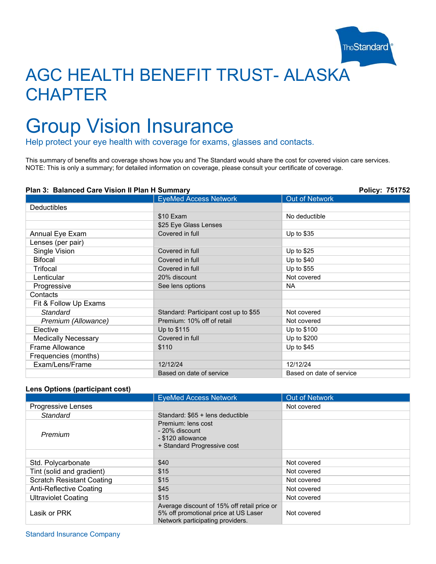

# AGC HEALTH BENEFIT TRUST- ALASKA **CHAPTER**

# Group Vision Insurance

Help protect your eye health with coverage for exams, glasses and contacts.

This summary of benefits and coverage shows how you and The Standard would share the cost for covered vision care services. NOTE: This is only a summary; for detailed information on coverage, please consult your certificate of coverage.

### **Plan 3: Balanced Care Vision II Plan H Summary Policy: 751752**

|                            | <b>EyeMed Access Network</b>          | <b>Out of Network</b>    |
|----------------------------|---------------------------------------|--------------------------|
|                            |                                       |                          |
| Deductibles                |                                       |                          |
|                            | \$10 Exam                             | No deductible            |
|                            | \$25 Eye Glass Lenses                 |                          |
| Annual Eye Exam            | Covered in full                       | Up to $$35$              |
| Lenses (per pair)          |                                       |                          |
| Single Vision              | Covered in full                       | Up to \$25               |
| <b>Bifocal</b>             | Covered in full                       | Up to $$40$              |
| Trifocal                   | Covered in full                       | Up to $$55$              |
| Lenticular                 | 20% discount                          | Not covered              |
| Progressive                | See lens options                      | <b>NA</b>                |
| Contacts                   |                                       |                          |
| Fit & Follow Up Exams      |                                       |                          |
| Standard                   | Standard: Participant cost up to \$55 | Not covered              |
| Premium (Allowance)        | Premium: 10% off of retail            | Not covered              |
| Elective                   | Up to \$115                           | Up to \$100              |
| <b>Medically Necessary</b> | Covered in full                       | Up to \$200              |
| Frame Allowance            | \$110                                 | Up to \$45               |
| Frequencies (months)       |                                       |                          |
| Exam/Lens/Frame            | 12/12/24                              | 12/12/24                 |
|                            | Based on date of service              | Based on date of service |

#### **Lens Options (participant cost)**

|                                  | <b>EyeMed Access Network</b>                                                                                            | <b>Out of Network</b> |
|----------------------------------|-------------------------------------------------------------------------------------------------------------------------|-----------------------|
| <b>Progressive Lenses</b>        |                                                                                                                         | Not covered           |
| Standard                         | Standard: \$65 + lens deductible                                                                                        |                       |
| Premium                          | Premium: lens cost<br>- 20% discount<br>- \$120 allowance<br>+ Standard Progressive cost                                |                       |
|                                  |                                                                                                                         |                       |
| Std. Polycarbonate               | \$40                                                                                                                    | Not covered           |
| Tint (solid and gradient)        | \$15                                                                                                                    | Not covered           |
| <b>Scratch Resistant Coating</b> | \$15                                                                                                                    | Not covered           |
| Anti-Reflective Coating          | \$45                                                                                                                    | Not covered           |
| Ultraviolet Coating              | \$15                                                                                                                    | Not covered           |
| Lasik or PRK                     | Average discount of 15% off retail price or<br>5% off promotional price at US Laser<br>Network participating providers. | Not covered           |